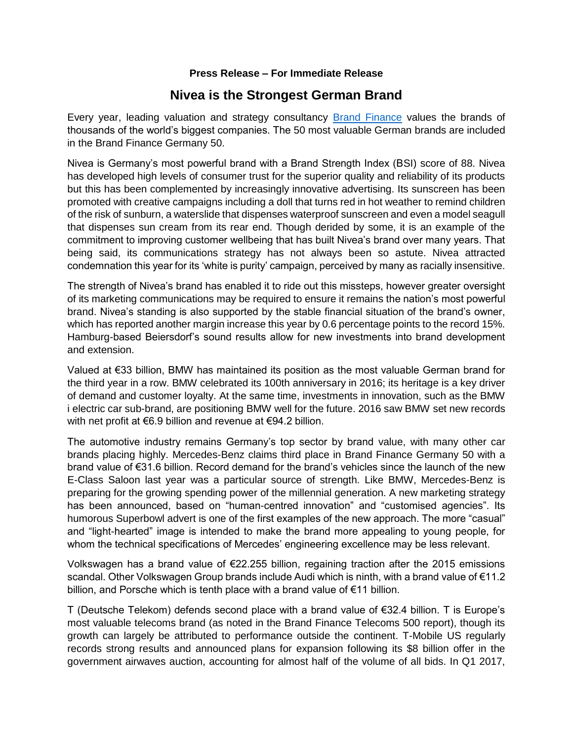## **Press Release – For Immediate Release**

# **Nivea is the Strongest German Brand**

Every year, leading valuation and strategy consultancy [Brand Finance](http://www.brandfinance.com/) values the brands of thousands of the world's biggest companies. The 50 most valuable German brands are included in the Brand Finance Germany 50.

Nivea is Germany's most powerful brand with a Brand Strength Index (BSI) score of 88. Nivea has developed high levels of consumer trust for the superior quality and reliability of its products but this has been complemented by increasingly innovative advertising. Its sunscreen has been promoted with creative campaigns including a doll that turns red in hot weather to remind children of the risk of sunburn, a waterslide that dispenses waterproof sunscreen and even a model seagull that dispenses sun cream from its rear end. Though derided by some, it is an example of the commitment to improving customer wellbeing that has built Nivea's brand over many years. That being said, its communications strategy has not always been so astute. Nivea attracted condemnation this year for its 'white is purity' campaign, perceived by many as racially insensitive.

The strength of Nivea's brand has enabled it to ride out this missteps, however greater oversight of its marketing communications may be required to ensure it remains the nation's most powerful brand. Nivea's standing is also supported by the stable financial situation of the brand's owner, which has reported another margin increase this year by 0.6 percentage points to the record 15%. Hamburg-based Beiersdorf's sound results allow for new investments into brand development and extension.

Valued at €33 billion, BMW has maintained its position as the most valuable German brand for the third year in a row. BMW celebrated its 100th anniversary in 2016; its heritage is a key driver of demand and customer loyalty. At the same time, investments in innovation, such as the BMW i electric car sub-brand, are positioning BMW well for the future. 2016 saw BMW set new records with net profit at €6.9 billion and revenue at €94.2 billion.

The automotive industry remains Germany's top sector by brand value, with many other car brands placing highly. Mercedes-Benz claims third place in Brand Finance Germany 50 with a brand value of €31.6 billion. Record demand for the brand's vehicles since the launch of the new E-Class Saloon last year was a particular source of strength. Like BMW, Mercedes-Benz is preparing for the growing spending power of the millennial generation. A new marketing strategy has been announced, based on "human-centred innovation" and "customised agencies". Its humorous Superbowl advert is one of the first examples of the new approach. The more "casual" and "light-hearted" image is intended to make the brand more appealing to young people, for whom the technical specifications of Mercedes' engineering excellence may be less relevant.

Volkswagen has a brand value of €22.255 billion, regaining traction after the 2015 emissions scandal. Other Volkswagen Group brands include Audi which is ninth, with a brand value of €11.2 billion, and Porsche which is tenth place with a brand value of €11 billion.

T (Deutsche Telekom) defends second place with a brand value of €32.4 billion. T is Europe's most valuable telecoms brand (as noted in the Brand Finance Telecoms 500 report), though its growth can largely be attributed to performance outside the continent. T-Mobile US regularly records strong results and announced plans for expansion following its \$8 billion offer in the government airwaves auction, accounting for almost half of the volume of all bids. In Q1 2017,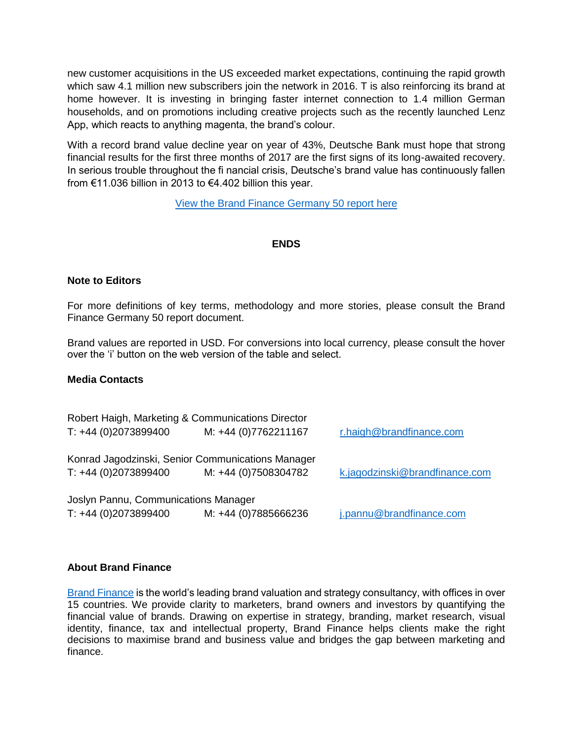new customer acquisitions in the US exceeded market expectations, continuing the rapid growth which saw 4.1 million new subscribers join the network in 2016. T is also reinforcing its brand at home however. It is investing in bringing faster internet connection to 1.4 million German households, and on promotions including creative projects such as the recently launched Lenz App, which reacts to anything magenta, the brand's colour.

With a record brand value decline year on year of 43%, Deutsche Bank must hope that strong financial results for the first three months of 2017 are the first signs of its long-awaited recovery. In serious trouble throughout the fi nancial crisis, Deutsche's brand value has continuously fallen from €11.036 billion in 2013 to €4.402 billion this year.

[View the Brand Finance Germany 50 report here](http://brandfinance.com/knowledge-centre/reports/brand-finance-germany-50-2017/)

## **ENDS**

## **Note to Editors**

For more definitions of key terms, methodology and more stories, please consult the Brand Finance Germany 50 report document.

Brand values are reported in USD. For conversions into local currency, please consult the hover over the 'i' button on the web version of the table and select.

#### **Media Contacts**

| $T: +44(0)2073899400$                                         | Robert Haigh, Marketing & Communications Director<br>M: +44 (0)7762211167 | r.haigh@brandfinance.com       |
|---------------------------------------------------------------|---------------------------------------------------------------------------|--------------------------------|
| $T: +44(0)2073899400$                                         | Konrad Jagodzinski, Senior Communications Manager<br>M: +44 (0)7508304782 | k.jagodzinski@brandfinance.com |
| Joslyn Pannu, Communications Manager<br>$T: +44(0)2073899400$ | M: +44 (0)7885666236                                                      | j.pannu@brandfinance.com       |

#### **About Brand Finance**

[Brand Finance](http://www.brandfinance.com/) is the world's leading brand valuation and strategy consultancy, with offices in over 15 countries. We provide clarity to marketers, brand owners and investors by quantifying the financial value of brands. Drawing on expertise in strategy, branding, market research, visual identity, finance, tax and intellectual property, Brand Finance helps clients make the right decisions to maximise brand and business value and bridges the gap between marketing and finance.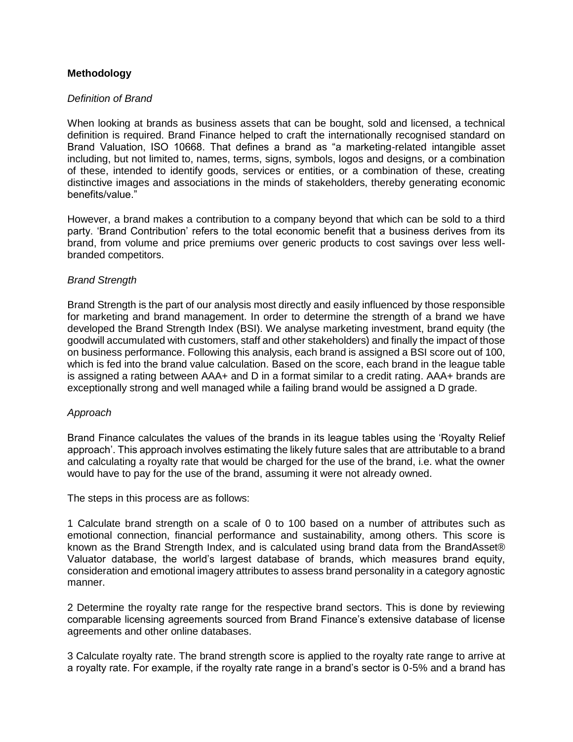# **Methodology**

## *Definition of Brand*

When looking at brands as business assets that can be bought, sold and licensed, a technical definition is required. Brand Finance helped to craft the internationally recognised standard on Brand Valuation, ISO 10668. That defines a brand as "a marketing-related intangible asset including, but not limited to, names, terms, signs, symbols, logos and designs, or a combination of these, intended to identify goods, services or entities, or a combination of these, creating distinctive images and associations in the minds of stakeholders, thereby generating economic benefits/value."

However, a brand makes a contribution to a company beyond that which can be sold to a third party. 'Brand Contribution' refers to the total economic benefit that a business derives from its brand, from volume and price premiums over generic products to cost savings over less wellbranded competitors.

## *Brand Strength*

Brand Strength is the part of our analysis most directly and easily influenced by those responsible for marketing and brand management. In order to determine the strength of a brand we have developed the Brand Strength Index (BSI). We analyse marketing investment, brand equity (the goodwill accumulated with customers, staff and other stakeholders) and finally the impact of those on business performance. Following this analysis, each brand is assigned a BSI score out of 100, which is fed into the brand value calculation. Based on the score, each brand in the league table is assigned a rating between AAA+ and D in a format similar to a credit rating. AAA+ brands are exceptionally strong and well managed while a failing brand would be assigned a D grade.

#### *Approach*

Brand Finance calculates the values of the brands in its league tables using the 'Royalty Relief approach'. This approach involves estimating the likely future sales that are attributable to a brand and calculating a royalty rate that would be charged for the use of the brand, i.e. what the owner would have to pay for the use of the brand, assuming it were not already owned.

The steps in this process are as follows:

1 Calculate brand strength on a scale of 0 to 100 based on a number of attributes such as emotional connection, financial performance and sustainability, among others. This score is known as the Brand Strength Index, and is calculated using brand data from the BrandAsset® Valuator database, the world's largest database of brands, which measures brand equity, consideration and emotional imagery attributes to assess brand personality in a category agnostic manner.

2 Determine the royalty rate range for the respective brand sectors. This is done by reviewing comparable licensing agreements sourced from Brand Finance's extensive database of license agreements and other online databases.

3 Calculate royalty rate. The brand strength score is applied to the royalty rate range to arrive at a royalty rate. For example, if the royalty rate range in a brand's sector is 0-5% and a brand has